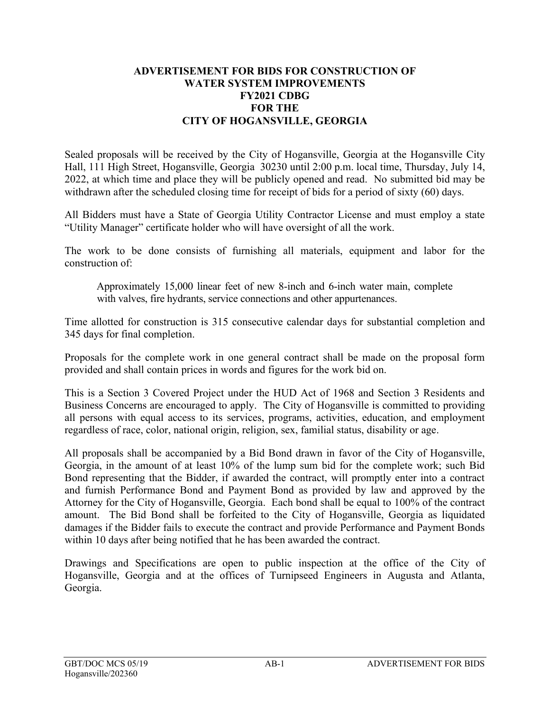## **ADVERTISEMENT FOR BIDS FOR CONSTRUCTION OF WATER SYSTEM IMPROVEMENTS FY2021 CDBG FOR THE CITY OF HOGANSVILLE, GEORGIA**

Sealed proposals will be received by the City of Hogansville, Georgia at the Hogansville City Hall, 111 High Street, Hogansville, Georgia 30230 until 2:00 p.m. local time, Thursday, July 14, 2022, at which time and place they will be publicly opened and read. No submitted bid may be withdrawn after the scheduled closing time for receipt of bids for a period of sixty (60) days.

All Bidders must have a State of Georgia Utility Contractor License and must employ a state "Utility Manager" certificate holder who will have oversight of all the work.

The work to be done consists of furnishing all materials, equipment and labor for the construction of:

Approximately 15,000 linear feet of new 8-inch and 6-inch water main, complete with valves, fire hydrants, service connections and other appurtenances.

Time allotted for construction is 315 consecutive calendar days for substantial completion and 345 days for final completion.

Proposals for the complete work in one general contract shall be made on the proposal form provided and shall contain prices in words and figures for the work bid on.

This is a Section 3 Covered Project under the HUD Act of 1968 and Section 3 Residents and Business Concerns are encouraged to apply. The City of Hogansville is committed to providing all persons with equal access to its services, programs, activities, education, and employment regardless of race, color, national origin, religion, sex, familial status, disability or age.

All proposals shall be accompanied by a Bid Bond drawn in favor of the City of Hogansville, Georgia, in the amount of at least 10% of the lump sum bid for the complete work; such Bid Bond representing that the Bidder, if awarded the contract, will promptly enter into a contract and furnish Performance Bond and Payment Bond as provided by law and approved by the Attorney for the City of Hogansville, Georgia. Each bond shall be equal to 100% of the contract amount. The Bid Bond shall be forfeited to the City of Hogansville, Georgia as liquidated damages if the Bidder fails to execute the contract and provide Performance and Payment Bonds within 10 days after being notified that he has been awarded the contract.

Drawings and Specifications are open to public inspection at the office of the City of Hogansville, Georgia and at the offices of Turnipseed Engineers in Augusta and Atlanta, Georgia.